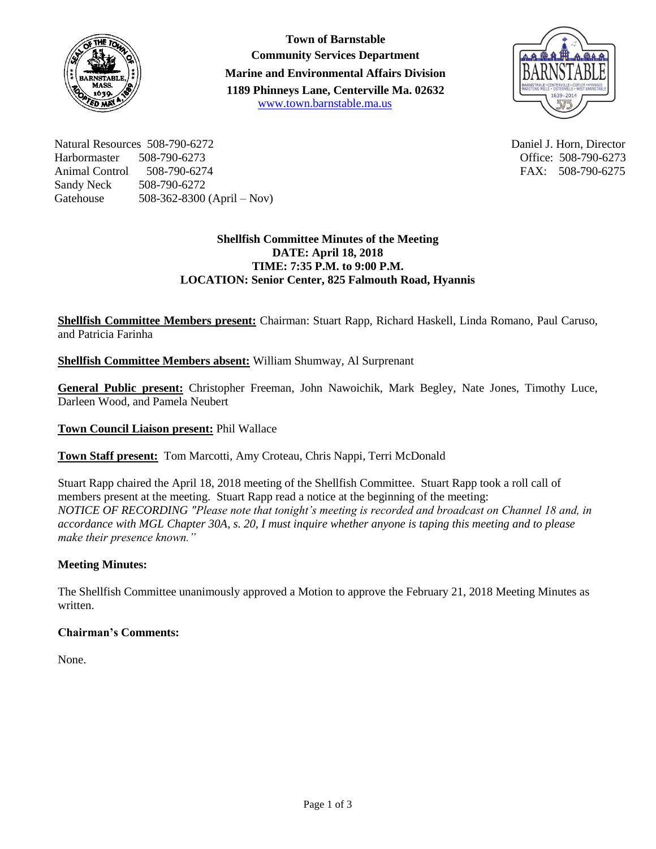

**Town of Barnstable Community Services Department Marine and Environmental Affairs Division 1189 Phinneys Lane, Centerville Ma. 02632** [www.town.barnstable.ma.us](http://www.town.barnstable.ma.us/)



Natural Resources 508-790-6272 Daniel J. Horn, Director Harbormaster 508-790-6273 Office: 508-790-6273 Animal Control 508-790-6274 FAX: 508-790-6275 Sandy Neck 508-790-6272 Gatehouse 508-362-8300 (April – Nov)

## **Shellfish Committee Minutes of the Meeting DATE: April 18, 2018 TIME: 7:35 P.M. to 9:00 P.M. LOCATION: Senior Center, 825 Falmouth Road, Hyannis**

**Shellfish Committee Members present:** Chairman: Stuart Rapp, Richard Haskell, Linda Romano, Paul Caruso, and Patricia Farinha

**Shellfish Committee Members absent:** William Shumway, Al Surprenant

**General Public present:** Christopher Freeman, John Nawoichik, Mark Begley, Nate Jones, Timothy Luce, Darleen Wood, and Pamela Neubert

**Town Council Liaison present:** Phil Wallace

**Town Staff present:** Tom Marcotti, Amy Croteau, Chris Nappi, Terri McDonald

Stuart Rapp chaired the April 18, 2018 meeting of the Shellfish Committee. Stuart Rapp took a roll call of members present at the meeting. Stuart Rapp read a notice at the beginning of the meeting: *NOTICE OF RECORDING "Please note that tonight's meeting is recorded and broadcast on Channel 18 and, in accordance with MGL Chapter 30A, s. 20, I must inquire whether anyone is taping this meeting and to please make their presence known."*

# **Meeting Minutes:**

The Shellfish Committee unanimously approved a Motion to approve the February 21, 2018 Meeting Minutes as written.

### **Chairman's Comments:**

None.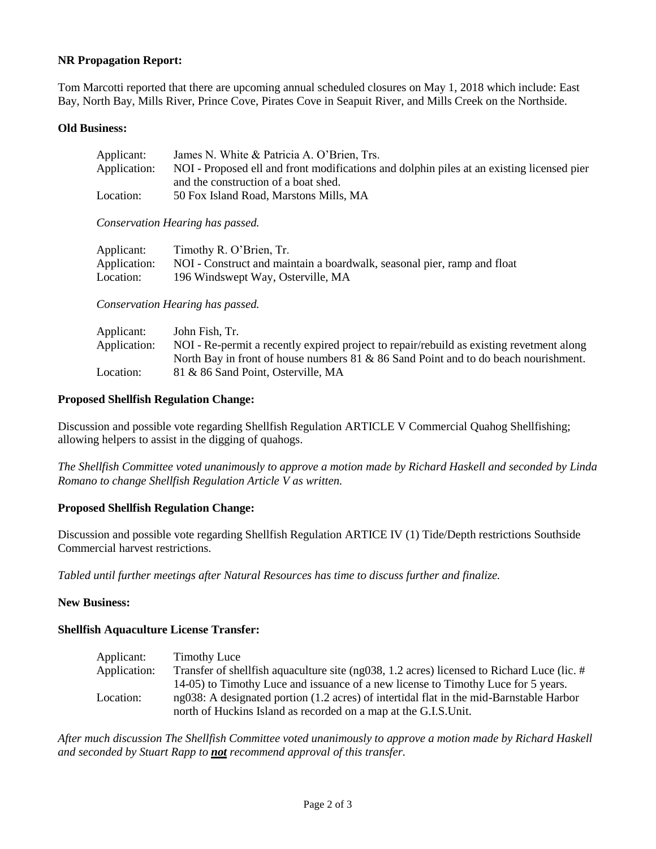### **NR Propagation Report:**

Tom Marcotti reported that there are upcoming annual scheduled closures on May 1, 2018 which include: East Bay, North Bay, Mills River, Prince Cove, Pirates Cove in Seapuit River, and Mills Creek on the Northside.

#### **Old Business:**

| Applicant:                       | James N. White & Patricia A. O'Brien, Trs.                                                                                        |  |
|----------------------------------|-----------------------------------------------------------------------------------------------------------------------------------|--|
| Application:                     | NOI - Proposed ell and front modifications and dolphin piles at an existing licensed pier<br>and the construction of a boat shed. |  |
| Location:                        | 50 Fox Island Road, Marstons Mills, MA                                                                                            |  |
|                                  | Conservation Hearing has passed.                                                                                                  |  |
| Applicant:                       | Timothy R. O'Brien, Tr.                                                                                                           |  |
| Application:                     | NOI - Construct and maintain a boardwalk, seasonal pier, ramp and float                                                           |  |
| Location:                        | 196 Windswept Way, Osterville, MA                                                                                                 |  |
| Conservation Hearing has passed. |                                                                                                                                   |  |

| John Fish. Tr.                                                                           |
|------------------------------------------------------------------------------------------|
| NOI - Re-permit a recently expired project to repair/rebuild as existing revetment along |
| North Bay in front of house numbers 81 & 86 Sand Point and to do beach nourishment.      |
| 81 & 86 Sand Point, Osterville, MA                                                       |
|                                                                                          |

#### **Proposed Shellfish Regulation Change:**

Discussion and possible vote regarding Shellfish Regulation ARTICLE V Commercial Quahog Shellfishing; allowing helpers to assist in the digging of quahogs.

*The Shellfish Committee voted unanimously to approve a motion made by Richard Haskell and seconded by Linda Romano to change Shellfish Regulation Article V as written.*

### **Proposed Shellfish Regulation Change:**

Discussion and possible vote regarding Shellfish Regulation ARTICE IV (1) Tide/Depth restrictions Southside Commercial harvest restrictions.

*Tabled until further meetings after Natural Resources has time to discuss further and finalize.*

#### **New Business:**

#### **Shellfish Aquaculture License Transfer:**

| Applicant:   | <b>Timothy Luce</b>                                                                           |
|--------------|-----------------------------------------------------------------------------------------------|
| Application: | Transfer of shell fish aquaculture site (ng038, 1.2 acres) licensed to Richard Luce (lic. $#$ |
|              | 14-05) to Timothy Luce and issuance of a new license to Timothy Luce for 5 years.             |
| Location:    | ng038: A designated portion (1.2 acres) of intertidal flat in the mid-Barnstable Harbor       |
|              | north of Huckins Island as recorded on a map at the G.I.S.Unit.                               |

*After much discussion The Shellfish Committee voted unanimously to approve a motion made by Richard Haskell and seconded by Stuart Rapp to not recommend approval of this transfer.*